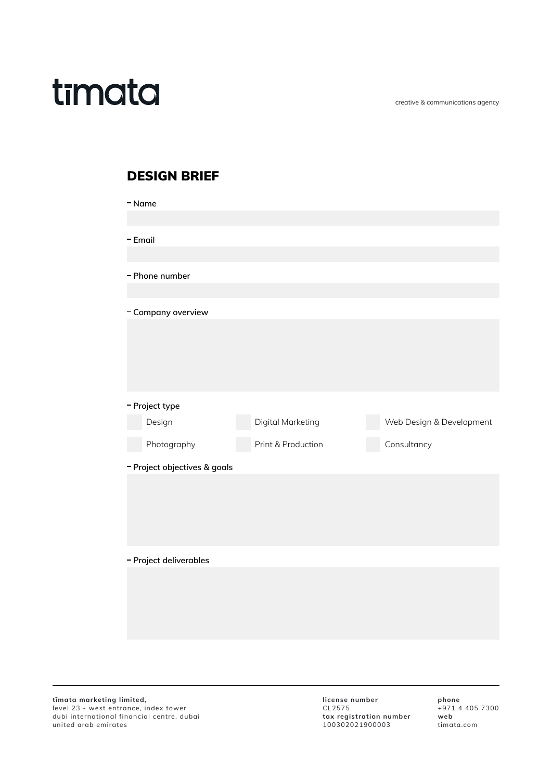creative & communications agency

## timata

## **DESIGN BRIEF**

| - Name                       |                |                    |                          |  |
|------------------------------|----------------|--------------------|--------------------------|--|
|                              |                |                    |                          |  |
| - Email                      |                |                    |                          |  |
|                              |                |                    |                          |  |
|                              | - Phone number |                    |                          |  |
|                              |                |                    |                          |  |
| - Company overview           |                |                    |                          |  |
|                              |                |                    |                          |  |
|                              |                |                    |                          |  |
|                              |                |                    |                          |  |
|                              |                |                    |                          |  |
|                              |                |                    |                          |  |
|                              | - Project type |                    |                          |  |
|                              | Design         | Digital Marketing  | Web Design & Development |  |
|                              | Photography    | Print & Production | Consultancy              |  |
| - Project objectives & goals |                |                    |                          |  |
|                              |                |                    |                          |  |
|                              |                |                    |                          |  |
|                              |                |                    |                          |  |
|                              |                |                    |                          |  |
|                              |                |                    |                          |  |
| - Project deliverables       |                |                    |                          |  |
|                              |                |                    |                          |  |
|                              |                |                    |                          |  |
|                              |                |                    |                          |  |
|                              |                |                    |                          |  |
|                              |                |                    |                          |  |